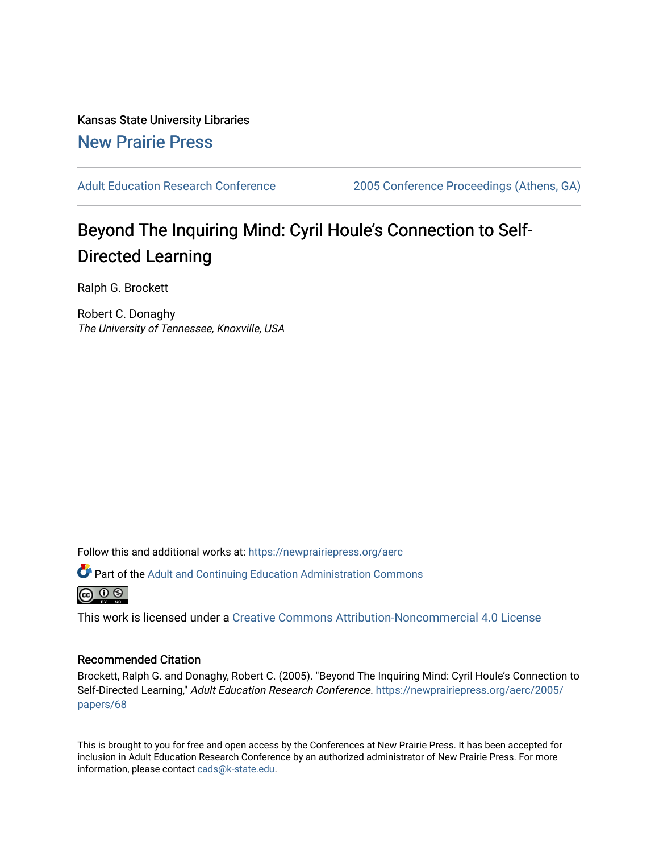Kansas State University Libraries [New Prairie Press](https://newprairiepress.org/) 

[Adult Education Research Conference](https://newprairiepress.org/aerc) [2005 Conference Proceedings \(Athens, GA\)](https://newprairiepress.org/aerc/2005) 

# Beyond The Inquiring Mind: Cyril Houle's Connection to Self-Directed Learning

Ralph G. Brockett

Robert C. Donaghy The University of Tennessee, Knoxville, USA

Follow this and additional works at: [https://newprairiepress.org/aerc](https://newprairiepress.org/aerc?utm_source=newprairiepress.org%2Faerc%2F2005%2Fpapers%2F68&utm_medium=PDF&utm_campaign=PDFCoverPages)

Part of the [Adult and Continuing Education Administration Commons](http://network.bepress.com/hgg/discipline/789?utm_source=newprairiepress.org%2Faerc%2F2005%2Fpapers%2F68&utm_medium=PDF&utm_campaign=PDFCoverPages)



This work is licensed under a [Creative Commons Attribution-Noncommercial 4.0 License](https://creativecommons.org/licenses/by-nc/4.0/)

### Recommended Citation

Brockett, Ralph G. and Donaghy, Robert C. (2005). "Beyond The Inquiring Mind: Cyril Houle's Connection to Self-Directed Learning," Adult Education Research Conference. [https://newprairiepress.org/aerc/2005/](https://newprairiepress.org/aerc/2005/papers/68) [papers/68](https://newprairiepress.org/aerc/2005/papers/68) 

This is brought to you for free and open access by the Conferences at New Prairie Press. It has been accepted for inclusion in Adult Education Research Conference by an authorized administrator of New Prairie Press. For more information, please contact [cads@k-state.edu](mailto:cads@k-state.edu).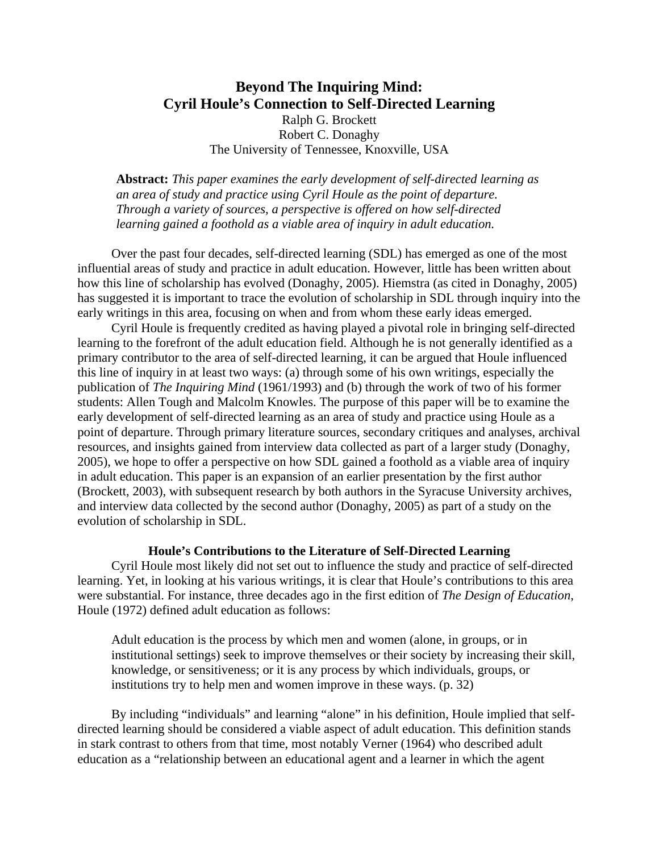## **Beyond The Inquiring Mind: Cyril Houle's Connection to Self-Directed Learning**  Ralph G. Brockett Robert C. Donaghy

The University of Tennessee, Knoxville, USA

**Abstract:** *This paper examines the early development of self-directed learning as an area of study and practice using Cyril Houle as the point of departure. Through a variety of sources, a perspective is offered on how self-directed learning gained a foothold as a viable area of inquiry in adult education.*

 Over the past four decades, self-directed learning (SDL) has emerged as one of the most influential areas of study and practice in adult education. However, little has been written about how this line of scholarship has evolved (Donaghy, 2005). Hiemstra (as cited in Donaghy, 2005) has suggested it is important to trace the evolution of scholarship in SDL through inquiry into the early writings in this area, focusing on when and from whom these early ideas emerged.

 Cyril Houle is frequently credited as having played a pivotal role in bringing self-directed learning to the forefront of the adult education field. Although he is not generally identified as a primary contributor to the area of self-directed learning, it can be argued that Houle influenced this line of inquiry in at least two ways: (a) through some of his own writings, especially the publication of *The Inquiring Mind* (1961/1993) and (b) through the work of two of his former students: Allen Tough and Malcolm Knowles. The purpose of this paper will be to examine the early development of self-directed learning as an area of study and practice using Houle as a point of departure. Through primary literature sources, secondary critiques and analyses, archival resources, and insights gained from interview data collected as part of a larger study (Donaghy, 2005), we hope to offer a perspective on how SDL gained a foothold as a viable area of inquiry in adult education. This paper is an expansion of an earlier presentation by the first author (Brockett, 2003), with subsequent research by both authors in the Syracuse University archives, and interview data collected by the second author (Donaghy, 2005) as part of a study on the evolution of scholarship in SDL.

### **Houle's Contributions to the Literature of Self-Directed Learning**

 Cyril Houle most likely did not set out to influence the study and practice of self-directed learning. Yet, in looking at his various writings, it is clear that Houle's contributions to this area were substantial. For instance, three decades ago in the first edition of *The Design of Education*, Houle (1972) defined adult education as follows:

Adult education is the process by which men and women (alone, in groups, or in institutional settings) seek to improve themselves or their society by increasing their skill, knowledge, or sensitiveness; or it is any process by which individuals, groups, or institutions try to help men and women improve in these ways. (p. 32)

 By including "individuals" and learning "alone" in his definition, Houle implied that selfdirected learning should be considered a viable aspect of adult education. This definition stands in stark contrast to others from that time, most notably Verner (1964) who described adult education as a "relationship between an educational agent and a learner in which the agent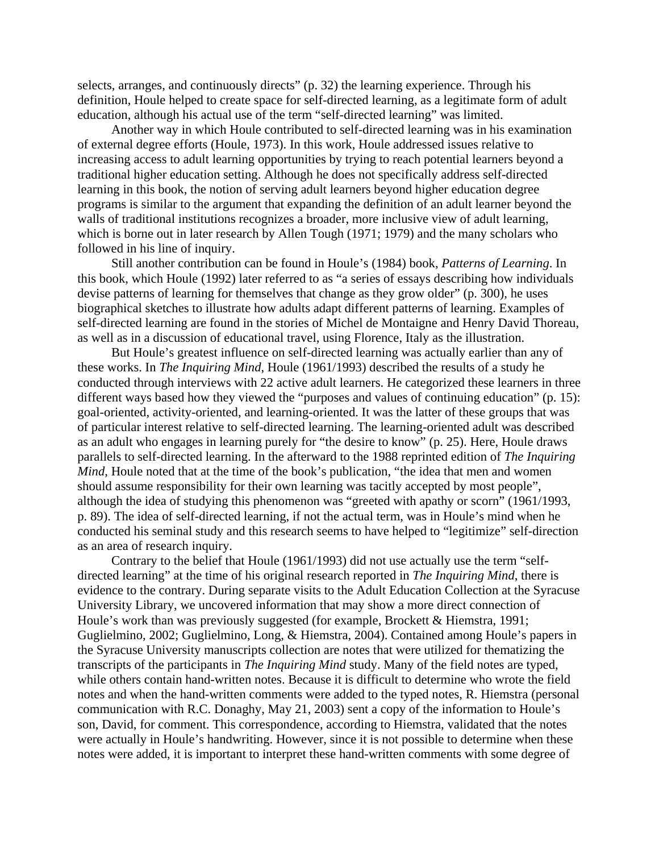selects, arranges, and continuously directs" (p. 32) the learning experience. Through his definition, Houle helped to create space for self-directed learning, as a legitimate form of adult education, although his actual use of the term "self-directed learning" was limited.

 Another way in which Houle contributed to self-directed learning was in his examination of external degree efforts (Houle, 1973). In this work, Houle addressed issues relative to increasing access to adult learning opportunities by trying to reach potential learners beyond a traditional higher education setting. Although he does not specifically address self-directed learning in this book, the notion of serving adult learners beyond higher education degree programs is similar to the argument that expanding the definition of an adult learner beyond the walls of traditional institutions recognizes a broader, more inclusive view of adult learning, which is borne out in later research by Allen Tough (1971; 1979) and the many scholars who followed in his line of inquiry.

 Still another contribution can be found in Houle's (1984) book, *Patterns of Learning*. In this book, which Houle (1992) later referred to as "a series of essays describing how individuals devise patterns of learning for themselves that change as they grow older" (p. 300), he uses biographical sketches to illustrate how adults adapt different patterns of learning. Examples of self-directed learning are found in the stories of Michel de Montaigne and Henry David Thoreau, as well as in a discussion of educational travel, using Florence, Italy as the illustration.

 But Houle's greatest influence on self-directed learning was actually earlier than any of these works. In *The Inquiring Mind*, Houle (1961/1993) described the results of a study he conducted through interviews with 22 active adult learners. He categorized these learners in three different ways based how they viewed the "purposes and values of continuing education" (p. 15): goal-oriented, activity-oriented, and learning-oriented. It was the latter of these groups that was of particular interest relative to self-directed learning. The learning-oriented adult was described as an adult who engages in learning purely for "the desire to know" (p. 25). Here, Houle draws parallels to self-directed learning. In the afterward to the 1988 reprinted edition of *The Inquiring Mind*, Houle noted that at the time of the book's publication, "the idea that men and women should assume responsibility for their own learning was tacitly accepted by most people", although the idea of studying this phenomenon was "greeted with apathy or scorn" (1961/1993, p. 89). The idea of self-directed learning, if not the actual term, was in Houle's mind when he conducted his seminal study and this research seems to have helped to "legitimize" self-direction as an area of research inquiry.

 Contrary to the belief that Houle (1961/1993) did not use actually use the term "selfdirected learning" at the time of his original research reported in *The Inquiring Mind*, there is evidence to the contrary. During separate visits to the Adult Education Collection at the Syracuse University Library, we uncovered information that may show a more direct connection of Houle's work than was previously suggested (for example, Brockett & Hiemstra, 1991; Guglielmino, 2002; Guglielmino, Long, & Hiemstra, 2004). Contained among Houle's papers in the Syracuse University manuscripts collection are notes that were utilized for thematizing the transcripts of the participants in *The Inquiring Mind* study. Many of the field notes are typed, while others contain hand-written notes. Because it is difficult to determine who wrote the field notes and when the hand-written comments were added to the typed notes, R. Hiemstra (personal communication with R.C. Donaghy, May 21, 2003) sent a copy of the information to Houle's son, David, for comment. This correspondence, according to Hiemstra, validated that the notes were actually in Houle's handwriting. However, since it is not possible to determine when these notes were added, it is important to interpret these hand-written comments with some degree of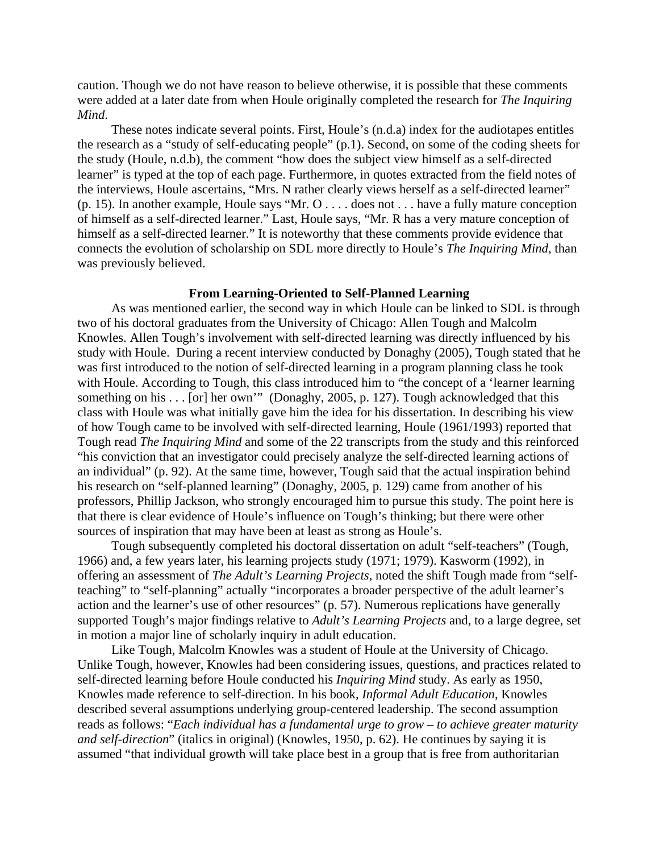caution. Though we do not have reason to believe otherwise, it is possible that these comments were added at a later date from when Houle originally completed the research for *The Inquiring Mind*.

 These notes indicate several points. First, Houle's (n.d.a) index for the audiotapes entitles the research as a "study of self-educating people" (p.1). Second, on some of the coding sheets for the study (Houle, n.d.b), the comment "how does the subject view himself as a self-directed learner" is typed at the top of each page. Furthermore, in quotes extracted from the field notes of the interviews, Houle ascertains, "Mrs. N rather clearly views herself as a self-directed learner" (p. 15). In another example, Houle says "Mr. O . . . . does not . . . have a fully mature conception of himself as a self-directed learner." Last, Houle says, "Mr. R has a very mature conception of himself as a self-directed learner." It is noteworthy that these comments provide evidence that connects the evolution of scholarship on SDL more directly to Houle's *The Inquiring Mind*, than was previously believed.

### **From Learning-Oriented to Self-Planned Learning**

 As was mentioned earlier, the second way in which Houle can be linked to SDL is through two of his doctoral graduates from the University of Chicago: Allen Tough and Malcolm Knowles. Allen Tough's involvement with self-directed learning was directly influenced by his study with Houle. During a recent interview conducted by Donaghy (2005), Tough stated that he was first introduced to the notion of self-directed learning in a program planning class he took with Houle. According to Tough, this class introduced him to "the concept of a 'learner learning something on his . . . [or] her own'" (Donaghy, 2005, p. 127). Tough acknowledged that this class with Houle was what initially gave him the idea for his dissertation. In describing his view of how Tough came to be involved with self-directed learning, Houle (1961/1993) reported that Tough read *The Inquiring Mind* and some of the 22 transcripts from the study and this reinforced "his conviction that an investigator could precisely analyze the self-directed learning actions of an individual" (p. 92). At the same time, however, Tough said that the actual inspiration behind his research on "self-planned learning" (Donaghy, 2005, p. 129) came from another of his professors, Phillip Jackson, who strongly encouraged him to pursue this study. The point here is that there is clear evidence of Houle's influence on Tough's thinking; but there were other sources of inspiration that may have been at least as strong as Houle's.

 Tough subsequently completed his doctoral dissertation on adult "self-teachers" (Tough, 1966) and, a few years later, his learning projects study (1971; 1979). Kasworm (1992), in offering an assessment of *The Adult's Learning Projects*, noted the shift Tough made from "selfteaching" to "self-planning" actually "incorporates a broader perspective of the adult learner's action and the learner's use of other resources" (p. 57). Numerous replications have generally supported Tough's major findings relative to *Adult's Learning Projects* and, to a large degree, set in motion a major line of scholarly inquiry in adult education.

 Like Tough, Malcolm Knowles was a student of Houle at the University of Chicago. Unlike Tough, however, Knowles had been considering issues, questions, and practices related to self-directed learning before Houle conducted his *Inquiring Mind* study. As early as 1950, Knowles made reference to self-direction. In his book, *Informal Adult Education*, Knowles described several assumptions underlying group-centered leadership. The second assumption reads as follows: "*Each individual has a fundamental urge to grow – to achieve greater maturity and self-direction*" (italics in original) (Knowles, 1950, p. 62). He continues by saying it is assumed "that individual growth will take place best in a group that is free from authoritarian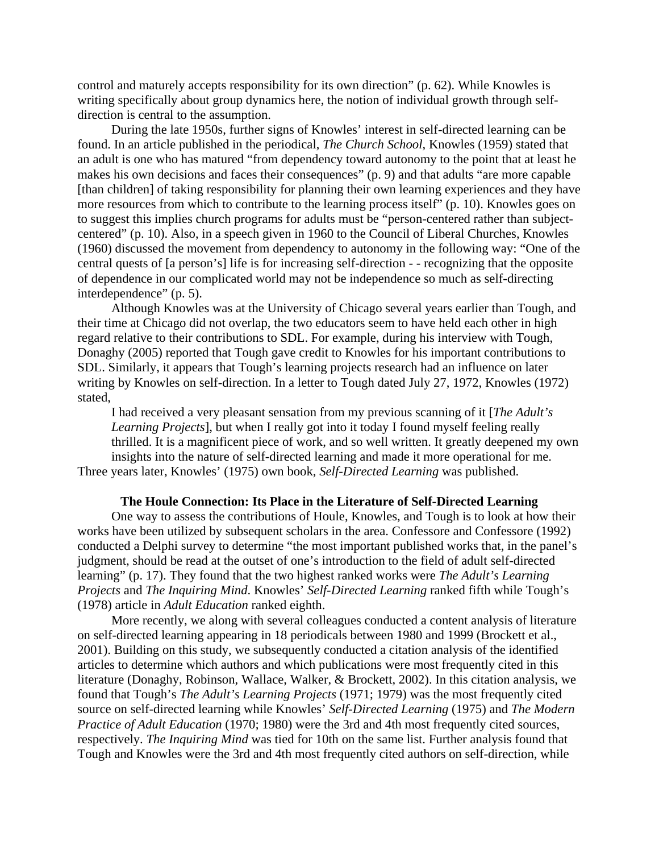control and maturely accepts responsibility for its own direction" (p. 62). While Knowles is writing specifically about group dynamics here, the notion of individual growth through selfdirection is central to the assumption.

 During the late 1950s, further signs of Knowles' interest in self-directed learning can be found. In an article published in the periodical, *The Church School*, Knowles (1959) stated that an adult is one who has matured "from dependency toward autonomy to the point that at least he makes his own decisions and faces their consequences" (p. 9) and that adults "are more capable [than children] of taking responsibility for planning their own learning experiences and they have more resources from which to contribute to the learning process itself" (p. 10). Knowles goes on to suggest this implies church programs for adults must be "person-centered rather than subjectcentered" (p. 10). Also, in a speech given in 1960 to the Council of Liberal Churches, Knowles (1960) discussed the movement from dependency to autonomy in the following way: "One of the central quests of [a person's] life is for increasing self-direction - - recognizing that the opposite of dependence in our complicated world may not be independence so much as self-directing interdependence" (p. 5).

 Although Knowles was at the University of Chicago several years earlier than Tough, and their time at Chicago did not overlap, the two educators seem to have held each other in high regard relative to their contributions to SDL. For example, during his interview with Tough, Donaghy (2005) reported that Tough gave credit to Knowles for his important contributions to SDL. Similarly, it appears that Tough's learning projects research had an influence on later writing by Knowles on self-direction. In a letter to Tough dated July 27, 1972, Knowles (1972) stated,

I had received a very pleasant sensation from my previous scanning of it [*The Adult's Learning Projects*], but when I really got into it today I found myself feeling really thrilled. It is a magnificent piece of work, and so well written. It greatly deepened my own insights into the nature of self-directed learning and made it more operational for me. Three years later, Knowles' (1975) own book, *Self-Directed Learning* was published.

#### **The Houle Connection: Its Place in the Literature of Self-Directed Learning**

 One way to assess the contributions of Houle, Knowles, and Tough is to look at how their works have been utilized by subsequent scholars in the area. Confessore and Confessore (1992) conducted a Delphi survey to determine "the most important published works that, in the panel's judgment, should be read at the outset of one's introduction to the field of adult self-directed learning" (p. 17). They found that the two highest ranked works were *The Adult's Learning Projects* and *The Inquiring Mind*. Knowles' *Self-Directed Learning* ranked fifth while Tough's (1978) article in *Adult Education* ranked eighth.

 More recently, we along with several colleagues conducted a content analysis of literature on self-directed learning appearing in 18 periodicals between 1980 and 1999 (Brockett et al., 2001). Building on this study, we subsequently conducted a citation analysis of the identified articles to determine which authors and which publications were most frequently cited in this literature (Donaghy, Robinson, Wallace, Walker, & Brockett, 2002). In this citation analysis, we found that Tough's *The Adult's Learning Projects* (1971; 1979) was the most frequently cited source on self-directed learning while Knowles' *Self-Directed Learning* (1975) and *The Modern Practice of Adult Education* (1970; 1980) were the 3rd and 4th most frequently cited sources, respectively. *The Inquiring Mind* was tied for 10th on the same list. Further analysis found that Tough and Knowles were the 3rd and 4th most frequently cited authors on self-direction, while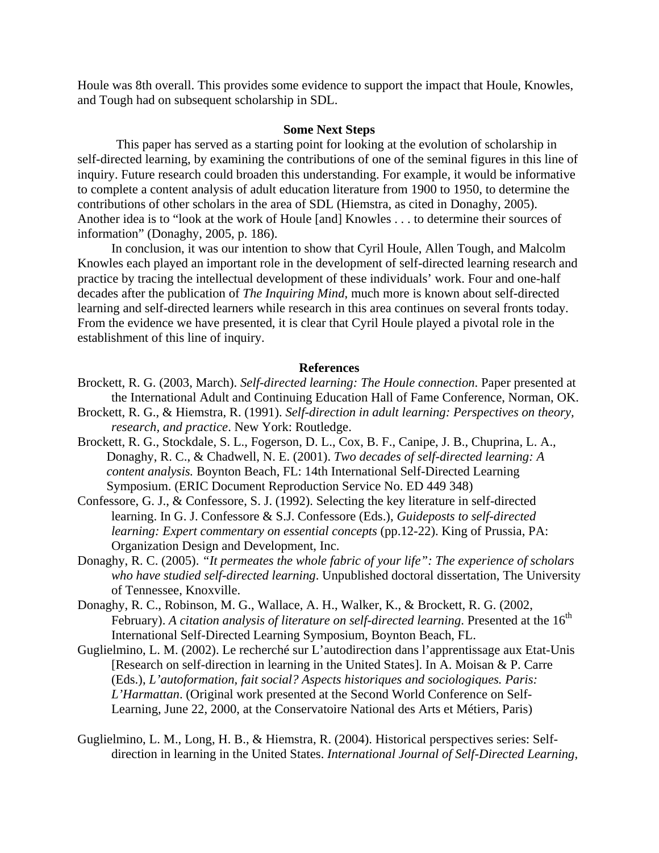Houle was 8th overall. This provides some evidence to support the impact that Houle, Knowles, and Tough had on subsequent scholarship in SDL.

#### **Some Next Steps**

 This paper has served as a starting point for looking at the evolution of scholarship in self-directed learning, by examining the contributions of one of the seminal figures in this line of inquiry. Future research could broaden this understanding. For example, it would be informative to complete a content analysis of adult education literature from 1900 to 1950, to determine the contributions of other scholars in the area of SDL (Hiemstra, as cited in Donaghy, 2005). Another idea is to "look at the work of Houle [and] Knowles . . . to determine their sources of information" (Donaghy, 2005, p. 186).

 In conclusion, it was our intention to show that Cyril Houle, Allen Tough, and Malcolm Knowles each played an important role in the development of self-directed learning research and practice by tracing the intellectual development of these individuals' work. Four and one-half decades after the publication of *The Inquiring Mind*, much more is known about self-directed learning and self-directed learners while research in this area continues on several fronts today. From the evidence we have presented, it is clear that Cyril Houle played a pivotal role in the establishment of this line of inquiry.

#### **References**

- Brockett, R. G. (2003, March). *Self-directed learning: The Houle connection*. Paper presented at the International Adult and Continuing Education Hall of Fame Conference, Norman, OK.
- Brockett, R. G., & Hiemstra, R. (1991). *Self-direction in adult learning: Perspectives on theory, research, and practice*. New York: Routledge.
- Brockett, R. G., Stockdale, S. L., Fogerson, D. L., Cox, B. F., Canipe, J. B., Chuprina, L. A., Donaghy, R. C., & Chadwell, N. E. (2001). *Two decades of self-directed learning: A content analysis.* Boynton Beach, FL: 14th International Self-Directed Learning Symposium. (ERIC Document Reproduction Service No. ED 449 348)
- Confessore, G. J., & Confessore, S. J. (1992). Selecting the key literature in self-directed learning. In G. J. Confessore & S.J. Confessore (Eds.), *Guideposts to self-directed learning: Expert commentary on essential concepts* (pp.12-22). King of Prussia, PA: Organization Design and Development, Inc.
- Donaghy, R. C. (2005). *"It permeates the whole fabric of your life": The experience of scholars who have studied self-directed learning*. Unpublished doctoral dissertation, The University of Tennessee, Knoxville.
- Donaghy, R. C., Robinson, M. G., Wallace, A. H., Walker, K., & Brockett, R. G. (2002, February). A citation analysis of literature on self-directed learning. Presented at the 16<sup>th</sup> International Self-Directed Learning Symposium, Boynton Beach, FL.
- Guglielmino, L. M. (2002). Le recherché sur L'autodirection dans l'apprentissage aux Etat-Unis [Research on self-direction in learning in the United States]. In A. Moisan & P. Carre (Eds.), *L'autoformation, fait social? Aspects historiques and sociologiques. Paris: L'Harmattan*. (Original work presented at the Second World Conference on Self-Learning, June 22, 2000, at the Conservatoire National des Arts et Métiers, Paris)
- Guglielmino, L. M., Long, H. B., & Hiemstra, R. (2004). Historical perspectives series: Selfdirection in learning in the United States. *International Journal of Self-Directed Learning,*